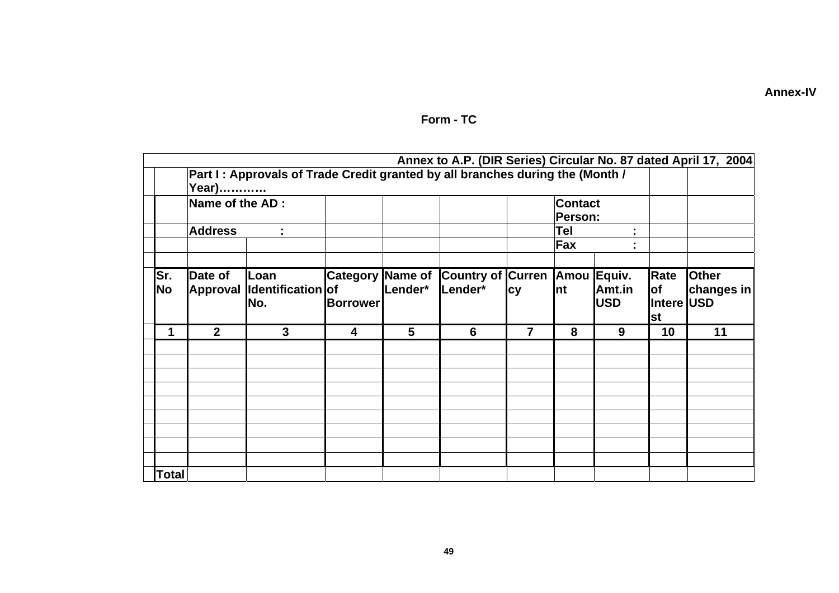|  | <b>Annex-IV</b> |  |
|--|-----------------|--|

|                     |                            |                                                                               |                                            |         |                                     |                           |                           |                      |                                        | Annex to A.P. (DIR Series) Circular No. 87 dated April 17, 2004 |
|---------------------|----------------------------|-------------------------------------------------------------------------------|--------------------------------------------|---------|-------------------------------------|---------------------------|---------------------------|----------------------|----------------------------------------|-----------------------------------------------------------------|
|                     | Year)                      | Part I: Approvals of Trade Credit granted by all branches during the (Month / |                                            |         |                                     |                           |                           |                      |                                        |                                                                 |
| Name of the AD:     |                            |                                                                               |                                            |         |                                     | <b>Contact</b><br>Person: |                           |                      |                                        |                                                                 |
| <b>Address</b><br>÷ |                            |                                                                               |                                            |         |                                     | Tel<br>t,<br>Fax<br>٠     |                           |                      |                                        |                                                                 |
| Sr.<br>No           | Date of<br><b>Approval</b> | Loan<br>Identification of<br>No.                                              | <b>Category Name of</b><br><b>Borrower</b> | Lender* | <b>Country of Curren</b><br>Lender* | <b>cy</b>                 | Amou Equiv.<br><b>Int</b> | Amt.in<br><b>USD</b> | Rate<br>lof<br>Intere USD<br><b>st</b> | <b>Other</b><br>changes in                                      |
| 1                   | $\overline{2}$             | $\mathbf{3}$                                                                  | $\overline{\mathbf{4}}$                    | 5       | 6                                   | 7                         | 8                         | 9                    | 10                                     | 11                                                              |
|                     |                            |                                                                               |                                            |         |                                     |                           |                           |                      |                                        |                                                                 |
|                     |                            |                                                                               |                                            |         |                                     |                           |                           |                      |                                        |                                                                 |
| <b>Total</b>        |                            |                                                                               |                                            |         |                                     |                           |                           |                      |                                        |                                                                 |

## Form - TC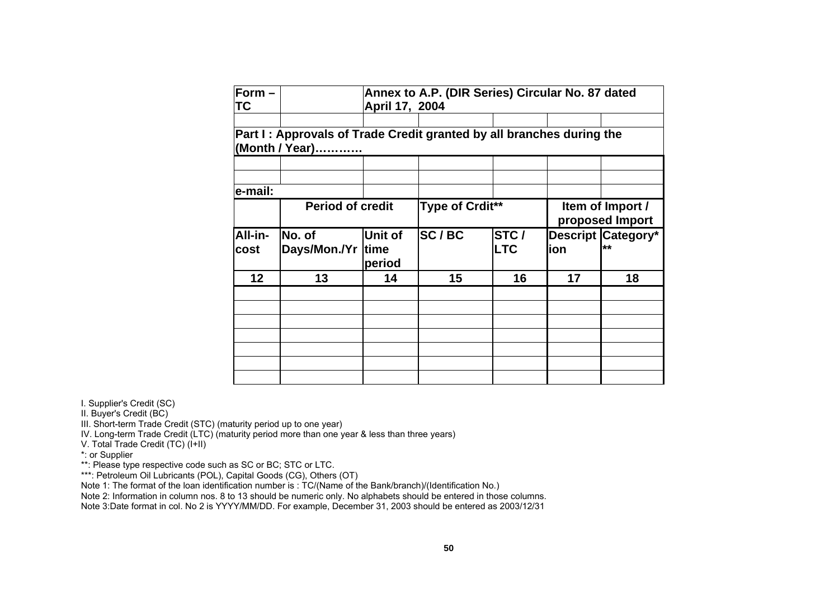| Form $-$<br>ТC  | Annex to A.P. (DIR Series) Circular No. 87 dated<br>April 17, 2004                     |                                  |                 |                    |                                     |                                 |  |  |
|-----------------|----------------------------------------------------------------------------------------|----------------------------------|-----------------|--------------------|-------------------------------------|---------------------------------|--|--|
|                 | Part I: Approvals of Trade Credit granted by all branches during the<br>(Month / Year) |                                  |                 |                    |                                     |                                 |  |  |
|                 |                                                                                        |                                  |                 |                    |                                     |                                 |  |  |
| e-mail:         |                                                                                        |                                  |                 |                    |                                     |                                 |  |  |
|                 | <b>Period of credit</b>                                                                |                                  | Type of Crdit** |                    | Item of Import /<br>proposed Import |                                 |  |  |
| All-in-<br>cost | No. of<br>Days/Mon./Yr                                                                 | Unit of<br><b>time</b><br>period | SC/BC           | STC/<br><b>LTC</b> | lion                                | <b>Descript Category*</b><br>** |  |  |
| 12              | 13                                                                                     | 14                               | 15              | 16                 | 17                                  | 18                              |  |  |
|                 |                                                                                        |                                  |                 |                    |                                     |                                 |  |  |
|                 |                                                                                        |                                  |                 |                    |                                     |                                 |  |  |
|                 |                                                                                        |                                  |                 |                    |                                     |                                 |  |  |
|                 |                                                                                        |                                  |                 |                    |                                     |                                 |  |  |

I. Supplier's Credit (SC)

II. Buyer's Credit (BC)

III. Short-term Trade Credit (STC) (maturity period up to one year)

IV. Long-term Trade Credit (LTC) (maturity period more than one year & less than three years)

V. Total Trade Credit (TC) (I+II)

\*: or Supplier

\*\*: Please type respective code such as SC or BC; STC or LTC.

\*\*\*: Petroleum Oil Lubricants (POL), Capital Goods (CG), Others (OT)

Note 1: The format of the loan identification number is : TC/(Name of the Bank/branch)/(Identification No.)

Note 2: Information in column nos. 8 to 13 should be numeric only. No alphabets should be entered in those columns.

Note 3:Date format in col. No 2 is YYYY/MM/DD. For example, December 31, 2003 should be entered as 2003/12/31